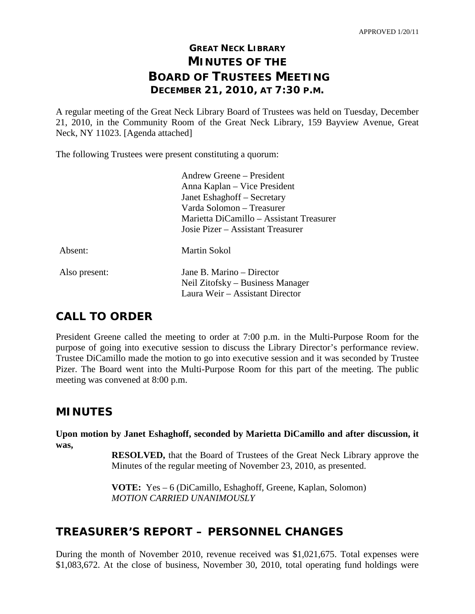# **GREAT NECK LIBRARY MINUTES OF THE BOARD OF TRUSTEES MEETING DECEMBER 21, 2010, AT 7:30 P.M.**

A regular meeting of the Great Neck Library Board of Trustees was held on Tuesday, December 21, 2010, in the Community Room of the Great Neck Library, 159 Bayview Avenue, Great Neck, NY 11023. [Agenda attached]

The following Trustees were present constituting a quorum:

|               | Andrew Greene – President                |
|---------------|------------------------------------------|
|               | Anna Kaplan – Vice President             |
|               | Janet Eshaghoff – Secretary              |
|               | Varda Solomon – Treasurer                |
|               | Marietta DiCamillo – Assistant Treasurer |
|               | Josie Pizer – Assistant Treasurer        |
| Absent:       | Martin Sokol                             |
| Also present: | Jane B. Marino – Director                |
|               | Neil Zitofsky – Business Manager         |
|               | Laura Weir – Assistant Director          |

# **CALL TO ORDER**

President Greene called the meeting to order at 7:00 p.m. in the Multi-Purpose Room for the purpose of going into executive session to discuss the Library Director's performance review. Trustee DiCamillo made the motion to go into executive session and it was seconded by Trustee Pizer. The Board went into the Multi-Purpose Room for this part of the meeting. The public meeting was convened at 8:00 p.m.

# **MINUTES**

**Upon motion by Janet Eshaghoff, seconded by Marietta DiCamillo and after discussion, it was,**

> **RESOLVED,** that the Board of Trustees of the Great Neck Library approve the Minutes of the regular meeting of November 23, 2010, as presented.

**VOTE:** Yes – 6 (DiCamillo, Eshaghoff, Greene, Kaplan, Solomon) *MOTION CARRIED UNANIMOUSLY*

# **TREASURER'S REPORT – PERSONNEL CHANGES**

During the month of November 2010, revenue received was \$1,021,675. Total expenses were \$1,083,672. At the close of business, November 30, 2010, total operating fund holdings were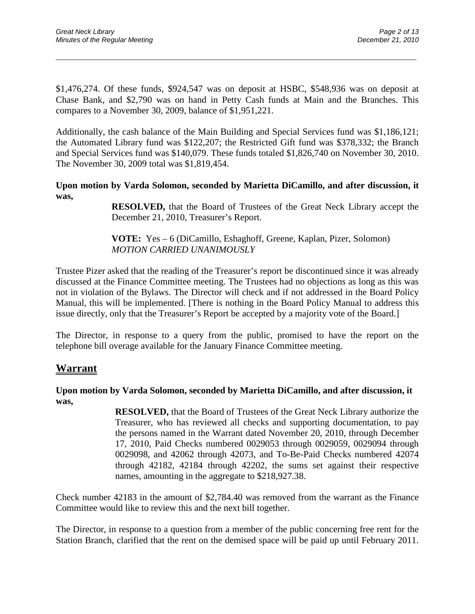\$1,476,274. Of these funds, \$924,547 was on deposit at HSBC, \$548,936 was on deposit at Chase Bank, and \$2,790 was on hand in Petty Cash funds at Main and the Branches. This compares to a November 30, 2009, balance of \$1,951,221.

\_\_\_\_\_\_\_\_\_\_\_\_\_\_\_\_\_\_\_\_\_\_\_\_\_\_\_\_\_\_\_\_\_\_\_\_\_\_\_\_\_\_\_\_\_\_\_\_\_\_\_\_\_\_\_\_\_\_\_\_\_\_\_\_\_\_\_\_\_\_\_\_\_\_\_\_\_\_\_\_\_\_\_\_\_\_\_\_\_\_\_\_\_

Additionally, the cash balance of the Main Building and Special Services fund was \$1,186,121; the Automated Library fund was \$122,207; the Restricted Gift fund was \$378,332; the Branch and Special Services fund was \$140,079. These funds totaled \$1,826,740 on November 30, 2010. The November 30, 2009 total was \$1,819,454.

**Upon motion by Varda Solomon, seconded by Marietta DiCamillo, and after discussion, it was,**

> **RESOLVED,** that the Board of Trustees of the Great Neck Library accept the December 21, 2010, Treasurer's Report.

**VOTE:** Yes – 6 (DiCamillo, Eshaghoff, Greene, Kaplan, Pizer, Solomon) *MOTION CARRIED UNANIMOUSLY*

Trustee Pizer asked that the reading of the Treasurer's report be discontinued since it was already discussed at the Finance Committee meeting. The Trustees had no objections as long as this was not in violation of the Bylaws. The Director will check and if not addressed in the Board Policy Manual, this will be implemented. [There is nothing in the Board Policy Manual to address this issue directly, only that the Treasurer's Report be accepted by a majority vote of the Board.]

The Director, in response to a query from the public, promised to have the report on the telephone bill overage available for the January Finance Committee meeting.

### **Warrant**

#### **Upon motion by Varda Solomon, seconded by Marietta DiCamillo, and after discussion, it was,**

**RESOLVED,** that the Board of Trustees of the Great Neck Library authorize the Treasurer, who has reviewed all checks and supporting documentation, to pay the persons named in the Warrant dated November 20, 2010, through December 17, 2010, Paid Checks numbered 0029053 through 0029059, 0029094 through 0029098, and 42062 through 42073, and To-Be-Paid Checks numbered 42074 through 42182, 42184 through 42202, the sums set against their respective names, amounting in the aggregate to \$218,927.38.

Check number 42183 in the amount of \$2,784.40 was removed from the warrant as the Finance Committee would like to review this and the next bill together.

The Director, in response to a question from a member of the public concerning free rent for the Station Branch, clarified that the rent on the demised space will be paid up until February 2011.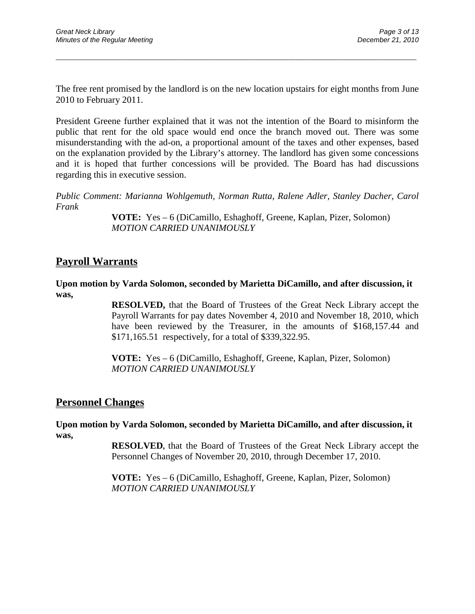The free rent promised by the landlord is on the new location upstairs for eight months from June 2010 to February 2011.

\_\_\_\_\_\_\_\_\_\_\_\_\_\_\_\_\_\_\_\_\_\_\_\_\_\_\_\_\_\_\_\_\_\_\_\_\_\_\_\_\_\_\_\_\_\_\_\_\_\_\_\_\_\_\_\_\_\_\_\_\_\_\_\_\_\_\_\_\_\_\_\_\_\_\_\_\_\_\_\_\_\_\_\_\_\_\_\_\_\_\_\_\_

President Greene further explained that it was not the intention of the Board to misinform the public that rent for the old space would end once the branch moved out. There was some misunderstanding with the ad-on, a proportional amount of the taxes and other expenses, based on the explanation provided by the Library's attorney. The landlord has given some concessions and it is hoped that further concessions will be provided. The Board has had discussions regarding this in executive session.

*Public Comment: Marianna Wohlgemuth, Norman Rutta, Ralene Adler, Stanley Dacher, Carol Frank*

> **VOTE:** Yes – 6 (DiCamillo, Eshaghoff, Greene, Kaplan, Pizer, Solomon) *MOTION CARRIED UNANIMOUSLY*

### **Payroll Warrants**

**Upon motion by Varda Solomon, seconded by Marietta DiCamillo, and after discussion, it was,**

> **RESOLVED,** that the Board of Trustees of the Great Neck Library accept the Payroll Warrants for pay dates November 4, 2010 and November 18, 2010, which have been reviewed by the Treasurer, in the amounts of \$168,157.44 and \$171,165.51 respectively, for a total of \$339,322.95.

**VOTE:** Yes – 6 (DiCamillo, Eshaghoff, Greene, Kaplan, Pizer, Solomon) *MOTION CARRIED UNANIMOUSLY*

### **Personnel Changes**

**Upon motion by Varda Solomon, seconded by Marietta DiCamillo, and after discussion, it was,**

> **RESOLVED,** that the Board of Trustees of the Great Neck Library accept the Personnel Changes of November 20, 2010, through December 17, 2010.

**VOTE:** Yes – 6 (DiCamillo, Eshaghoff, Greene, Kaplan, Pizer, Solomon) *MOTION CARRIED UNANIMOUSLY*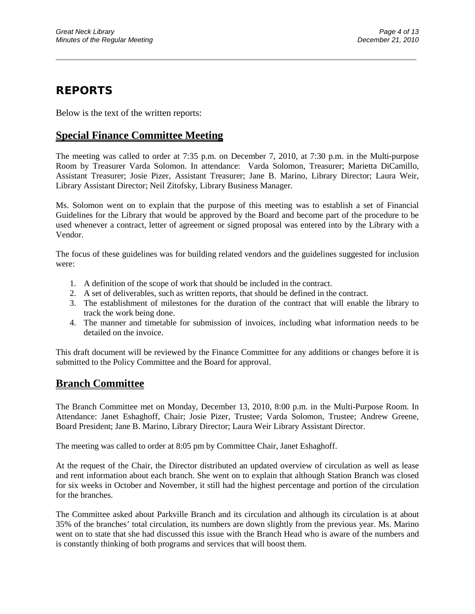## **REPORTS**

Below is the text of the written reports:

## **Special Finance Committee Meeting**

The meeting was called to order at 7:35 p.m. on December 7, 2010, at 7:30 p.m. in the Multi-purpose Room by Treasurer Varda Solomon. In attendance: Varda Solomon, Treasurer; Marietta DiCamillo, Assistant Treasurer; Josie Pizer, Assistant Treasurer; Jane B. Marino, Library Director; Laura Weir, Library Assistant Director; Neil Zitofsky, Library Business Manager.

\_\_\_\_\_\_\_\_\_\_\_\_\_\_\_\_\_\_\_\_\_\_\_\_\_\_\_\_\_\_\_\_\_\_\_\_\_\_\_\_\_\_\_\_\_\_\_\_\_\_\_\_\_\_\_\_\_\_\_\_\_\_\_\_\_\_\_\_\_\_\_\_\_\_\_\_\_\_\_\_\_\_\_\_\_\_\_\_\_\_\_\_\_

Ms. Solomon went on to explain that the purpose of this meeting was to establish a set of Financial Guidelines for the Library that would be approved by the Board and become part of the procedure to be used whenever a contract, letter of agreement or signed proposal was entered into by the Library with a Vendor.

The focus of these guidelines was for building related vendors and the guidelines suggested for inclusion were:

- 1. A definition of the scope of work that should be included in the contract.
- 2. A set of deliverables, such as written reports, that should be defined in the contract.
- 3. The establishment of milestones for the duration of the contract that will enable the library to track the work being done.
- 4. The manner and timetable for submission of invoices, including what information needs to be detailed on the invoice.

This draft document will be reviewed by the Finance Committee for any additions or changes before it is submitted to the Policy Committee and the Board for approval.

## **Branch Committee**

The Branch Committee met on Monday, December 13, 2010, 8:00 p.m. in the Multi-Purpose Room. In Attendance: Janet Eshaghoff, Chair; Josie Pizer, Trustee; Varda Solomon, Trustee; Andrew Greene, Board President; Jane B. Marino, Library Director; Laura Weir Library Assistant Director.

The meeting was called to order at 8:05 pm by Committee Chair, Janet Eshaghoff.

At the request of the Chair, the Director distributed an updated overview of circulation as well as lease and rent information about each branch. She went on to explain that although Station Branch was closed for six weeks in October and November, it still had the highest percentage and portion of the circulation for the branches.

The Committee asked about Parkville Branch and its circulation and although its circulation is at about 35% of the branches' total circulation, its numbers are down slightly from the previous year. Ms. Marino went on to state that she had discussed this issue with the Branch Head who is aware of the numbers and is constantly thinking of both programs and services that will boost them.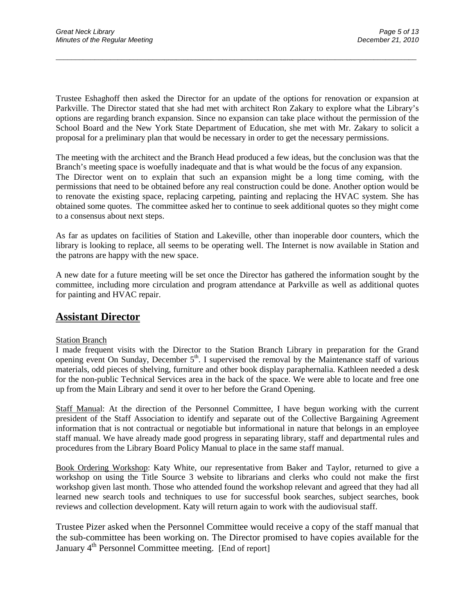Trustee Eshaghoff then asked the Director for an update of the options for renovation or expansion at Parkville. The Director stated that she had met with architect Ron Zakary to explore what the Library's options are regarding branch expansion. Since no expansion can take place without the permission of the School Board and the New York State Department of Education, she met with Mr. Zakary to solicit a proposal for a preliminary plan that would be necessary in order to get the necessary permissions.

\_\_\_\_\_\_\_\_\_\_\_\_\_\_\_\_\_\_\_\_\_\_\_\_\_\_\_\_\_\_\_\_\_\_\_\_\_\_\_\_\_\_\_\_\_\_\_\_\_\_\_\_\_\_\_\_\_\_\_\_\_\_\_\_\_\_\_\_\_\_\_\_\_\_\_\_\_\_\_\_\_\_\_\_\_\_\_\_\_\_\_\_\_

The meeting with the architect and the Branch Head produced a few ideas, but the conclusion was that the Branch's meeting space is woefully inadequate and that is what would be the focus of any expansion. The Director went on to explain that such an expansion might be a long time coming, with the permissions that need to be obtained before any real construction could be done. Another option would be to renovate the existing space, replacing carpeting, painting and replacing the HVAC system. She has obtained some quotes. The committee asked her to continue to seek additional quotes so they might come to a consensus about next steps.

As far as updates on facilities of Station and Lakeville, other than inoperable door counters, which the library is looking to replace, all seems to be operating well. The Internet is now available in Station and the patrons are happy with the new space.

A new date for a future meeting will be set once the Director has gathered the information sought by the committee, including more circulation and program attendance at Parkville as well as additional quotes for painting and HVAC repair.

## **Assistant Director**

#### **Station Branch**

I made frequent visits with the Director to the Station Branch Library in preparation for the Grand opening event On Sunday, December  $5<sup>th</sup>$ . I supervised the removal by the Maintenance staff of various materials, odd pieces of shelving, furniture and other book display paraphernalia. Kathleen needed a desk for the non-public Technical Services area in the back of the space. We were able to locate and free one up from the Main Library and send it over to her before the Grand Opening.

Staff Manual: At the direction of the Personnel Committee, I have begun working with the current president of the Staff Association to identify and separate out of the Collective Bargaining Agreement information that is not contractual or negotiable but informational in nature that belongs in an employee staff manual. We have already made good progress in separating library, staff and departmental rules and procedures from the Library Board Policy Manual to place in the same staff manual.

Book Ordering Workshop: Katy White, our representative from Baker and Taylor, returned to give a workshop on using the Title Source 3 website to librarians and clerks who could not make the first workshop given last month. Those who attended found the workshop relevant and agreed that they had all learned new search tools and techniques to use for successful book searches, subject searches, book reviews and collection development. Katy will return again to work with the audiovisual staff.

Trustee Pizer asked when the Personnel Committee would receive a copy of the staff manual that the sub-committee has been working on. The Director promised to have copies available for the January 4<sup>th</sup> Personnel Committee meeting. [End of report]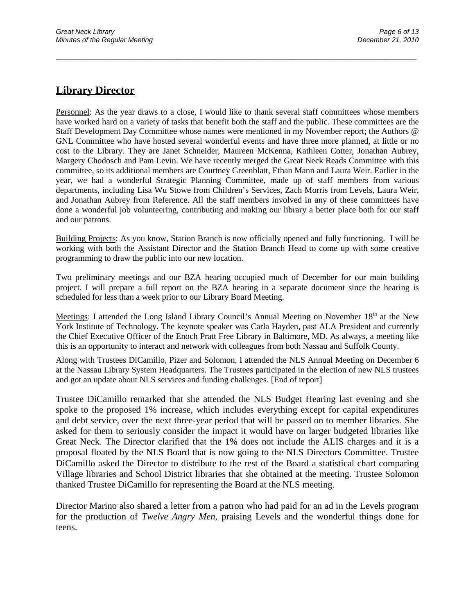## **Library Director**

Personnel: As the year draws to a close, I would like to thank several staff committees whose members have worked hard on a variety of tasks that benefit both the staff and the public. These committees are the Staff Development Day Committee whose names were mentioned in my November report; the Authors @ GNL Committee who have hosted several wonderful events and have three more planned, at little or no cost to the Library. They are Janet Schneider, Maureen McKenna, Kathleen Cotter, Jonathan Aubrey, Margery Chodosch and Pam Levin. We have recently merged the Great Neck Reads Committee with this committee, so its additional members are Courtney Greenblatt, Ethan Mann and Laura Weir. Earlier in the year, we had a wonderful Strategic Planning Committee, made up of staff members from various departments, including Lisa Wu Stowe from Children's Services, Zach Morris from Levels, Laura Weir, and Jonathan Aubrey from Reference. All the staff members involved in any of these committees have done a wonderful job volunteering, contributing and making our library a better place both for our staff and our patrons.

\_\_\_\_\_\_\_\_\_\_\_\_\_\_\_\_\_\_\_\_\_\_\_\_\_\_\_\_\_\_\_\_\_\_\_\_\_\_\_\_\_\_\_\_\_\_\_\_\_\_\_\_\_\_\_\_\_\_\_\_\_\_\_\_\_\_\_\_\_\_\_\_\_\_\_\_\_\_\_\_\_\_\_\_\_\_\_\_\_\_\_\_\_

Building Projects: As you know, Station Branch is now officially opened and fully functioning. I will be working with both the Assistant Director and the Station Branch Head to come up with some creative programming to draw the public into our new location.

Two preliminary meetings and our BZA hearing occupied much of December for our main building project. I will prepare a full report on the BZA hearing in a separate document since the hearing is scheduled for less than a week prior to our Library Board Meeting.

Meetings: I attended the Long Island Library Council's Annual Meeting on November  $18<sup>th</sup>$  at the New York Institute of Technology. The keynote speaker was Carla Hayden, past ALA President and currently the Chief Executive Officer of the Enoch Pratt Free Library in Baltimore, MD. As always, a meeting like this is an opportunity to interact and network with colleagues from both Nassau and Suffolk County.

Along with Trustees DiCamillo, Pizer and Solomon, I attended the NLS Annual Meeting on December 6 at the Nassau Library System Headquarters. The Trustees participated in the election of new NLS trustees and got an update about NLS services and funding challenges. [End of report]

Trustee DiCamillo remarked that she attended the NLS Budget Hearing last evening and she spoke to the proposed 1% increase, which includes everything except for capital expenditures and debt service, over the next three-year period that will be passed on to member libraries. She asked for them to seriously consider the impact it would have on larger budgeted libraries like Great Neck. The Director clarified that the 1% does not include the ALIS charges and it is a proposal floated by the NLS Board that is now going to the NLS Directors Committee. Trustee DiCamillo asked the Director to distribute to the rest of the Board a statistical chart comparing Village libraries and School District libraries that she obtained at the meeting. Trustee Solomon thanked Trustee DiCamillo for representing the Board at the NLS meeting.

Director Marino also shared a letter from a patron who had paid for an ad in the Levels program for the production of *Twelve Angry Men*, praising Levels and the wonderful things done for teens.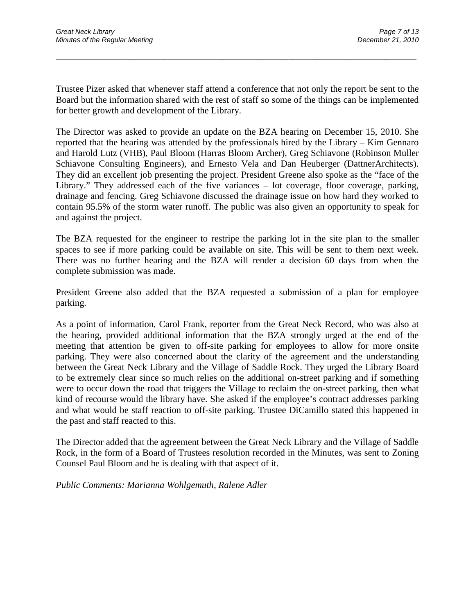Trustee Pizer asked that whenever staff attend a conference that not only the report be sent to the Board but the information shared with the rest of staff so some of the things can be implemented for better growth and development of the Library.

\_\_\_\_\_\_\_\_\_\_\_\_\_\_\_\_\_\_\_\_\_\_\_\_\_\_\_\_\_\_\_\_\_\_\_\_\_\_\_\_\_\_\_\_\_\_\_\_\_\_\_\_\_\_\_\_\_\_\_\_\_\_\_\_\_\_\_\_\_\_\_\_\_\_\_\_\_\_\_\_\_\_\_\_\_\_\_\_\_\_\_\_\_

The Director was asked to provide an update on the BZA hearing on December 15, 2010. She reported that the hearing was attended by the professionals hired by the Library – Kim Gennaro and Harold Lutz (VHB), Paul Bloom (Harras Bloom Archer), Greg Schiavone (Robinson Muller Schiavone Consulting Engineers), and Ernesto Vela and Dan Heuberger (DattnerArchitects). They did an excellent job presenting the project. President Greene also spoke as the "face of the Library." They addressed each of the five variances – lot coverage, floor coverage, parking, drainage and fencing. Greg Schiavone discussed the drainage issue on how hard they worked to contain 95.5% of the storm water runoff. The public was also given an opportunity to speak for and against the project.

The BZA requested for the engineer to restripe the parking lot in the site plan to the smaller spaces to see if more parking could be available on site. This will be sent to them next week. There was no further hearing and the BZA will render a decision 60 days from when the complete submission was made.

President Greene also added that the BZA requested a submission of a plan for employee parking.

As a point of information, Carol Frank, reporter from the Great Neck Record, who was also at the hearing, provided additional information that the BZA strongly urged at the end of the meeting that attention be given to off-site parking for employees to allow for more onsite parking. They were also concerned about the clarity of the agreement and the understanding between the Great Neck Library and the Village of Saddle Rock. They urged the Library Board to be extremely clear since so much relies on the additional on-street parking and if something were to occur down the road that triggers the Village to reclaim the on-street parking, then what kind of recourse would the library have. She asked if the employee's contract addresses parking and what would be staff reaction to off-site parking. Trustee DiCamillo stated this happened in the past and staff reacted to this.

The Director added that the agreement between the Great Neck Library and the Village of Saddle Rock, in the form of a Board of Trustees resolution recorded in the Minutes, was sent to Zoning Counsel Paul Bloom and he is dealing with that aspect of it.

*Public Comments: Marianna Wohlgemuth, Ralene Adler*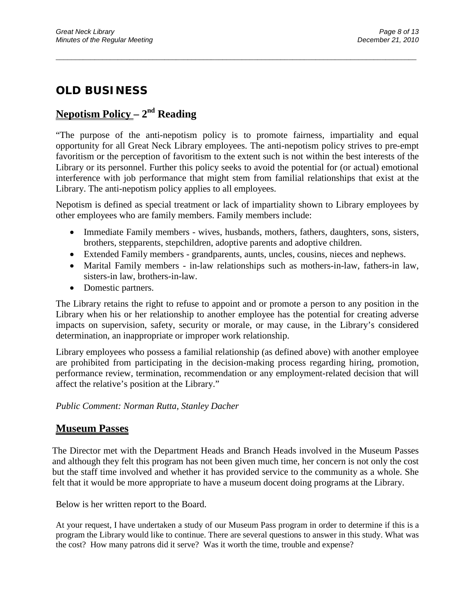# **OLD BUSINESS**

## **Nepotism Policy – 2nd Reading**

"The purpose of the anti-nepotism policy is to promote fairness, impartiality and equal opportunity for all Great Neck Library employees. The anti-nepotism policy strives to pre-empt favoritism or the perception of favoritism to the extent such is not within the best interests of the Library or its personnel. Further this policy seeks to avoid the potential for (or actual) emotional interference with job performance that might stem from familial relationships that exist at the Library. The anti-nepotism policy applies to all employees.

\_\_\_\_\_\_\_\_\_\_\_\_\_\_\_\_\_\_\_\_\_\_\_\_\_\_\_\_\_\_\_\_\_\_\_\_\_\_\_\_\_\_\_\_\_\_\_\_\_\_\_\_\_\_\_\_\_\_\_\_\_\_\_\_\_\_\_\_\_\_\_\_\_\_\_\_\_\_\_\_\_\_\_\_\_\_\_\_\_\_\_\_\_

Nepotism is defined as special treatment or lack of impartiality shown to Library employees by other employees who are family members. Family members include:

- Immediate Family members wives, husbands, mothers, fathers, daughters, sons, sisters, brothers, stepparents, stepchildren, adoptive parents and adoptive children.
- Extended Family members grandparents, aunts, uncles, cousins, nieces and nephews.
- Marital Family members in-law relationships such as mothers-in-law, fathers-in law, sisters-in law, brothers-in-law.
- Domestic partners.

The Library retains the right to refuse to appoint and or promote a person to any position in the Library when his or her relationship to another employee has the potential for creating adverse impacts on supervision, safety, security or morale, or may cause, in the Library's considered determination, an inappropriate or improper work relationship.

Library employees who possess a familial relationship (as defined above) with another employee are prohibited from participating in the decision-making process regarding hiring, promotion, performance review, termination, recommendation or any employment-related decision that will affect the relative's position at the Library."

#### *Public Comment: Norman Rutta, Stanley Dacher*

### **Museum Passes**

The Director met with the Department Heads and Branch Heads involved in the Museum Passes and although they felt this program has not been given much time, her concern is not only the cost but the staff time involved and whether it has provided service to the community as a whole. She felt that it would be more appropriate to have a museum docent doing programs at the Library.

Below is her written report to the Board.

At your request, I have undertaken a study of our Museum Pass program in order to determine if this is a program the Library would like to continue. There are several questions to answer in this study. What was the cost? How many patrons did it serve? Was it worth the time, trouble and expense?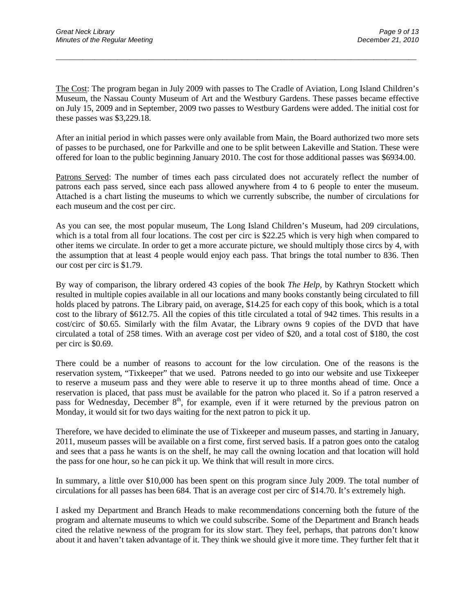The Cost: The program began in July 2009 with passes to The Cradle of Aviation, Long Island Children's Museum, the Nassau County Museum of Art and the Westbury Gardens. These passes became effective on July 15, 2009 and in September, 2009 two passes to Westbury Gardens were added. The initial cost for these passes was \$3,229.18.

\_\_\_\_\_\_\_\_\_\_\_\_\_\_\_\_\_\_\_\_\_\_\_\_\_\_\_\_\_\_\_\_\_\_\_\_\_\_\_\_\_\_\_\_\_\_\_\_\_\_\_\_\_\_\_\_\_\_\_\_\_\_\_\_\_\_\_\_\_\_\_\_\_\_\_\_\_\_\_\_\_\_\_\_\_\_\_\_\_\_\_\_\_

After an initial period in which passes were only available from Main, the Board authorized two more sets of passes to be purchased, one for Parkville and one to be split between Lakeville and Station. These were offered for loan to the public beginning January 2010. The cost for those additional passes was \$6934.00.

Patrons Served: The number of times each pass circulated does not accurately reflect the number of patrons each pass served, since each pass allowed anywhere from 4 to 6 people to enter the museum. Attached is a chart listing the museums to which we currently subscribe, the number of circulations for each museum and the cost per circ.

As you can see, the most popular museum, The Long Island Children's Museum, had 209 circulations, which is a total from all four locations. The cost per circ is \$22.25 which is very high when compared to other items we circulate. In order to get a more accurate picture, we should multiply those circs by 4, with the assumption that at least 4 people would enjoy each pass. That brings the total number to 836. Then our cost per circ is \$1.79.

By way of comparison, the library ordered 43 copies of the book *The Help*, by Kathryn Stockett which resulted in multiple copies available in all our locations and many books constantly being circulated to fill holds placed by patrons. The Library paid, on average, \$14.25 for each copy of this book, which is a total cost to the library of \$612.75. All the copies of this title circulated a total of 942 times. This results in a cost/circ of \$0.65. Similarly with the film Avatar, the Library owns 9 copies of the DVD that have circulated a total of 258 times. With an average cost per video of \$20, and a total cost of \$180, the cost per circ is \$0.69.

There could be a number of reasons to account for the low circulation. One of the reasons is the reservation system, "Tixkeeper" that we used. Patrons needed to go into our website and use Tixkeeper to reserve a museum pass and they were able to reserve it up to three months ahead of time. Once a reservation is placed, that pass must be available for the patron who placed it. So if a patron reserved a pass for Wednesday, December 8<sup>th</sup>, for example, even if it were returned by the previous patron on Monday, it would sit for two days waiting for the next patron to pick it up.

Therefore, we have decided to eliminate the use of Tixkeeper and museum passes, and starting in January, 2011, museum passes will be available on a first come, first served basis. If a patron goes onto the catalog and sees that a pass he wants is on the shelf, he may call the owning location and that location will hold the pass for one hour, so he can pick it up. We think that will result in more circs.

In summary, a little over \$10,000 has been spent on this program since July 2009. The total number of circulations for all passes has been 684. That is an average cost per circ of \$14.70. It's extremely high.

I asked my Department and Branch Heads to make recommendations concerning both the future of the program and alternate museums to which we could subscribe. Some of the Department and Branch heads cited the relative newness of the program for its slow start. They feel, perhaps, that patrons don't know about it and haven't taken advantage of it. They think we should give it more time. They further felt that it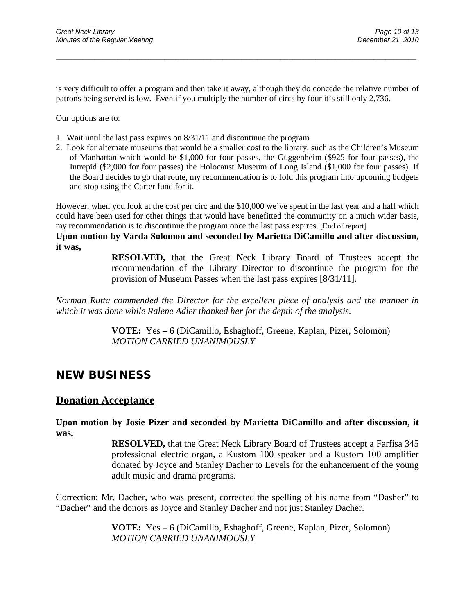is very difficult to offer a program and then take it away, although they do concede the relative number of patrons being served is low. Even if you multiply the number of circs by four it's still only 2,736.

\_\_\_\_\_\_\_\_\_\_\_\_\_\_\_\_\_\_\_\_\_\_\_\_\_\_\_\_\_\_\_\_\_\_\_\_\_\_\_\_\_\_\_\_\_\_\_\_\_\_\_\_\_\_\_\_\_\_\_\_\_\_\_\_\_\_\_\_\_\_\_\_\_\_\_\_\_\_\_\_\_\_\_\_\_\_\_\_\_\_\_\_\_

Our options are to:

- 1. Wait until the last pass expires on 8/31/11 and discontinue the program.
- 2. Look for alternate museums that would be a smaller cost to the library, such as the Children's Museum of Manhattan which would be \$1,000 for four passes, the Guggenheim (\$925 for four passes), the Intrepid (\$2,000 for four passes) the Holocaust Museum of Long Island (\$1,000 for four passes). If the Board decides to go that route, my recommendation is to fold this program into upcoming budgets and stop using the Carter fund for it.

However, when you look at the cost per circ and the \$10,000 we've spent in the last year and a half which could have been used for other things that would have benefitted the community on a much wider basis, my recommendation is to discontinue the program once the last pass expires. [End of report]

**Upon motion by Varda Solomon and seconded by Marietta DiCamillo and after discussion, it was,**

> **RESOLVED,** that the Great Neck Library Board of Trustees accept the recommendation of the Library Director to discontinue the program for the provision of Museum Passes when the last pass expires [8/31/11].

*Norman Rutta commended the Director for the excellent piece of analysis and the manner in which it was done while Ralene Adler thanked her for the depth of the analysis.*

> **VOTE:** Yes **–** 6 (DiCamillo, Eshaghoff, Greene, Kaplan, Pizer, Solomon) *MOTION CARRIED UNANIMOUSLY*

## **NEW BUSINESS**

#### **Donation Acceptance**

**Upon motion by Josie Pizer and seconded by Marietta DiCamillo and after discussion, it was,**

> **RESOLVED,** that the Great Neck Library Board of Trustees accept a Farfisa 345 professional electric organ, a Kustom 100 speaker and a Kustom 100 amplifier donated by Joyce and Stanley Dacher to Levels for the enhancement of the young adult music and drama programs.

Correction: Mr. Dacher, who was present, corrected the spelling of his name from "Dasher" to "Dacher" and the donors as Joyce and Stanley Dacher and not just Stanley Dacher.

> **VOTE:** Yes **–** 6 (DiCamillo, Eshaghoff, Greene, Kaplan, Pizer, Solomon) *MOTION CARRIED UNANIMOUSLY*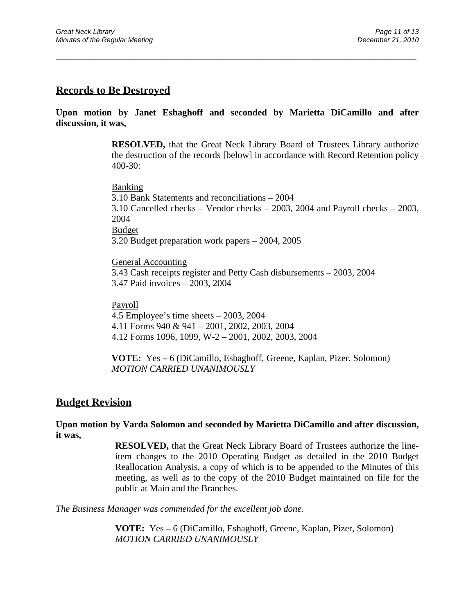### **Records to Be Destroyed**

#### **Upon motion by Janet Eshaghoff and seconded by Marietta DiCamillo and after discussion, it was,**

\_\_\_\_\_\_\_\_\_\_\_\_\_\_\_\_\_\_\_\_\_\_\_\_\_\_\_\_\_\_\_\_\_\_\_\_\_\_\_\_\_\_\_\_\_\_\_\_\_\_\_\_\_\_\_\_\_\_\_\_\_\_\_\_\_\_\_\_\_\_\_\_\_\_\_\_\_\_\_\_\_\_\_\_\_\_\_\_\_\_\_\_\_

**RESOLVED,** that the Great Neck Library Board of Trustees Library authorize the destruction of the records [below] in accordance with Record Retention policy 400-30:

Banking 3.10 Bank Statements and reconciliations – 2004 3.10 Cancelled checks – Vendor checks – 2003, 2004 and Payroll checks – 2003, 2004 Budget 3.20 Budget preparation work papers – 2004, 2005

General Accounting 3.43 Cash receipts register and Petty Cash disbursements – 2003, 2004 3.47 Paid invoices – 2003, 2004

#### Payroll

4.5 Employee's time sheets – 2003, 2004 4.11 Forms 940 & 941 – 2001, 2002, 2003, 2004 4.12 Forms 1096, 1099, W-2 – 2001, 2002, 2003, 2004

**VOTE:** Yes **–** 6 (DiCamillo, Eshaghoff, Greene, Kaplan, Pizer, Solomon) *MOTION CARRIED UNANIMOUSLY*

#### **Budget Revision**

#### **Upon motion by Varda Solomon and seconded by Marietta DiCamillo and after discussion, it was,**

**RESOLVED,** that the Great Neck Library Board of Trustees authorize the lineitem changes to the 2010 Operating Budget as detailed in the 2010 Budget Reallocation Analysis, a copy of which is to be appended to the Minutes of this meeting, as well as to the copy of the 2010 Budget maintained on file for the public at Main and the Branches.

*The Business Manager was commended for the excellent job done.*

**VOTE:** Yes **–** 6 (DiCamillo, Eshaghoff, Greene, Kaplan, Pizer, Solomon) *MOTION CARRIED UNANIMOUSLY*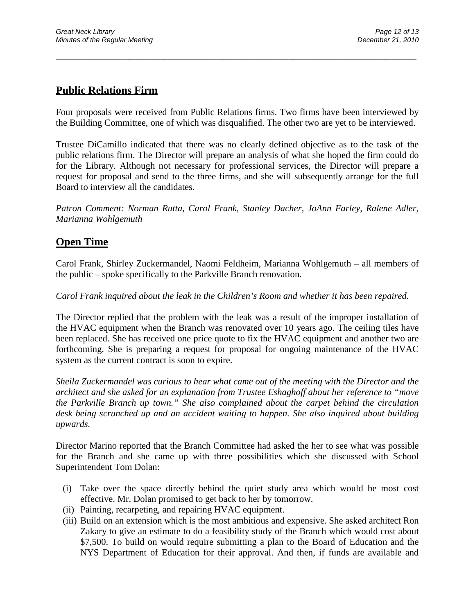## **Public Relations Firm**

Four proposals were received from Public Relations firms. Two firms have been interviewed by the Building Committee, one of which was disqualified. The other two are yet to be interviewed.

\_\_\_\_\_\_\_\_\_\_\_\_\_\_\_\_\_\_\_\_\_\_\_\_\_\_\_\_\_\_\_\_\_\_\_\_\_\_\_\_\_\_\_\_\_\_\_\_\_\_\_\_\_\_\_\_\_\_\_\_\_\_\_\_\_\_\_\_\_\_\_\_\_\_\_\_\_\_\_\_\_\_\_\_\_\_\_\_\_\_\_\_\_

Trustee DiCamillo indicated that there was no clearly defined objective as to the task of the public relations firm. The Director will prepare an analysis of what she hoped the firm could do for the Library. Although not necessary for professional services, the Director will prepare a request for proposal and send to the three firms, and she will subsequently arrange for the full Board to interview all the candidates.

*Patron Comment: Norman Rutta, Carol Frank, Stanley Dacher, JoAnn Farley, Ralene Adler, Marianna Wohlgemuth*

## **Open Time**

Carol Frank, Shirley Zuckermandel, Naomi Feldheim, Marianna Wohlgemuth – all members of the public – spoke specifically to the Parkville Branch renovation.

*Carol Frank inquired about the leak in the Children's Room and whether it has been repaired.*

The Director replied that the problem with the leak was a result of the improper installation of the HVAC equipment when the Branch was renovated over 10 years ago. The ceiling tiles have been replaced. She has received one price quote to fix the HVAC equipment and another two are forthcoming. She is preparing a request for proposal for ongoing maintenance of the HVAC system as the current contract is soon to expire.

*Sheila Zuckermandel was curious to hear what came out of the meeting with the Director and the architect and she asked for an explanation from Trustee Eshaghoff about her reference to "move the Parkville Branch up town." She also complained about the carpet behind the circulation desk being scrunched up and an accident waiting to happen. She also inquired about building upwards.*

Director Marino reported that the Branch Committee had asked the her to see what was possible for the Branch and she came up with three possibilities which she discussed with School Superintendent Tom Dolan:

- (i) Take over the space directly behind the quiet study area which would be most cost effective. Mr. Dolan promised to get back to her by tomorrow.
- (ii) Painting, recarpeting, and repairing HVAC equipment.
- (iii) Build on an extension which is the most ambitious and expensive. She asked architect Ron Zakary to give an estimate to do a feasibility study of the Branch which would cost about \$7,500. To build on would require submitting a plan to the Board of Education and the NYS Department of Education for their approval. And then, if funds are available and